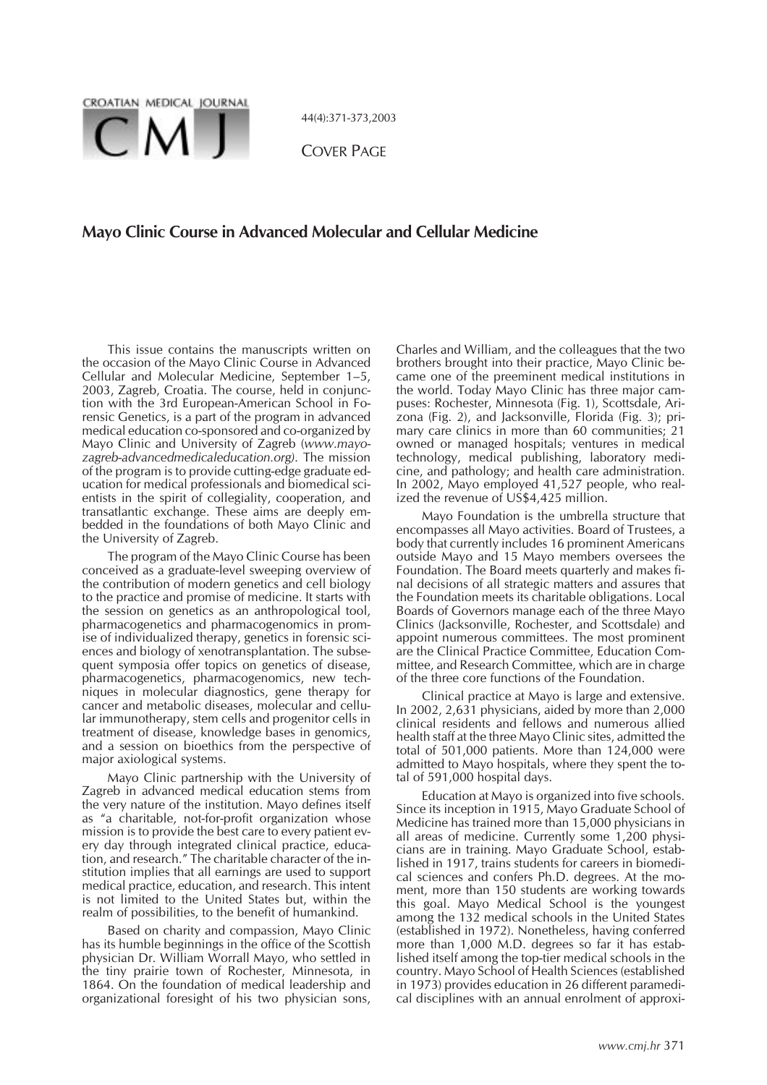

44(4):371-373,2003

COVER PAGE

## **Mayo Clinic Course in Advanced Molecular and Cellular Medicine**

This issue contains the manuscripts written on the occasion of the Mayo Clinic Course in Advanced Cellular and Molecular Medicine, September 1–5, 2003, Zagreb, Croatia. The course, held in conjunction with the 3rd European-American School in Forensic Genetics, is a part of the program in advanced medical education co-sponsored and co-organized by Mayo Clinic and University of Zagreb (*www.mayozagreb-advancedmedicaleducation.org)*. The mission of the program is to provide cutting-edge graduate education for medical professionals and biomedical scientists in the spirit of collegiality, cooperation, and transatlantic exchange. These aims are deeply embedded in the foundations of both Mayo Clinic and the University of Zagreb.

The program of the Mayo Clinic Course has been conceived as a graduate-level sweeping overview of the contribution of modern genetics and cell biology to the practice and promise of medicine. It starts with the session on genetics as an anthropological tool, pharmacogenetics and pharmacogenomics in promise of individualized therapy, genetics in forensic sciences and biology of xenotransplantation. The subsequent symposia offer topics on genetics of disease, pharmacogenetics, pharmacogenomics, new techniques in molecular diagnostics, gene therapy for cancer and metabolic diseases, molecular and cellular immunotherapy, stem cells and progenitor cells in treatment of disease, knowledge bases in genomics, and a session on bioethics from the perspective of major axiological systems.

Mayo Clinic partnership with the University of Zagreb in advanced medical education stems from the very nature of the institution. Mayo defines itself as "a charitable, not-for-profit organization whose mission is to provide the best care to every patient every day through integrated clinical practice, education, and research." The charitable character of the institution implies that all earnings are used to support medical practice, education, and research. This intent is not limited to the United States but, within the realm of possibilities, to the benefit of humankind.

Based on charity and compassion, Mayo Clinic has its humble beginnings in the office of the Scottish physician Dr. William Worrall Mayo, who settled in the tiny prairie town of Rochester, Minnesota, in 1864. On the foundation of medical leadership and organizational foresight of his two physician sons,

Charles and William, and the colleagues that the two brothers brought into their practice, Mayo Clinic became one of the preeminent medical institutions in the world. Today Mayo Clinic has three major campuses: Rochester, Minnesota (Fig. 1), Scottsdale, Arizona (Fig. 2), and Jacksonville, Florida (Fig. 3); primary care clinics in more than 60 communities; 21 owned or managed hospitals; ventures in medical technology, medical publishing, laboratory medicine, and pathology; and health care administration. In 2002, Mayo employed 41,527 people, who realized the revenue of US\$4,425 million.

Mayo Foundation is the umbrella structure that encompasses all Mayo activities. Board of Trustees, a body that currently includes 16 prominent Americans outside Mayo and 15 Mayo members oversees the Foundation. The Board meets quarterly and makes final decisions of all strategic matters and assures that the Foundation meets its charitable obligations. Local Boards of Governors manage each of the three Mayo Clinics (Jacksonville, Rochester, and Scottsdale) and appoint numerous committees. The most prominent are the Clinical Practice Committee, Education Committee, and Research Committee, which are in charge of the three core functions of the Foundation.

Clinical practice at Mayo is large and extensive. In 2002, 2,631 physicians, aided by more than 2,000 clinical residents and fellows and numerous allied health staff at the three Mayo Clinic sites, admitted the total of 501,000 patients. More than 124,000 were admitted to Mayo hospitals, where they spent the total of 591,000 hospital days.

Education at Mayo is organized into five schools. Since its inception in 1915, Mayo Graduate School of Medicine has trained more than 15,000 physicians in all areas of medicine. Currently some 1,200 physicians are in training. Mayo Graduate School, established in 1917, trains students for careers in biomedical sciences and confers Ph.D. degrees. At the moment, more than 150 students are working towards this goal. Mayo Medical School is the youngest among the 132 medical schools in the United States (established in 1972). Nonetheless, having conferred more than 1,000 M.D. degrees so far it has established itself among the top-tier medical schools in the country. Mayo School of Health Sciences (established in 1973) provides education in 26 different paramedical disciplines with an annual enrolment of approxi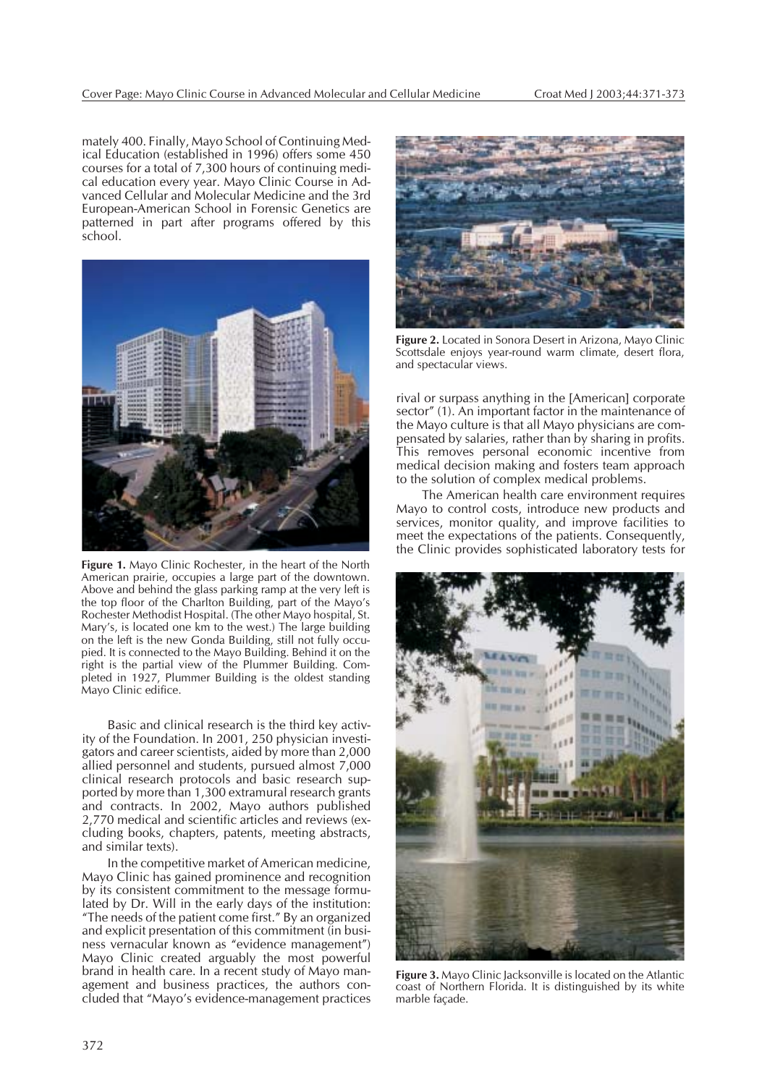mately 400. Finally, Mayo School of Continuing Medical Education (established in 1996) offers some 450 courses for a total of 7,300 hours of continuing medical education every year. Mayo Clinic Course in Advanced Cellular and Molecular Medicine and the 3rd European-American School in Forensic Genetics are patterned in part after programs offered by this school.



**Figure 1.** Mayo Clinic Rochester, in the heart of the North American prairie, occupies a large part of the downtown. Above and behind the glass parking ramp at the very left is the top floor of the Charlton Building, part of the Mayo's Rochester Methodist Hospital. (The other Mayo hospital, St. Mary's, is located one km to the west.) The large building on the left is the new Gonda Building, still not fully occupied. It is connected to the Mayo Building. Behind it on the right is the partial view of the Plummer Building. Completed in 1927, Plummer Building is the oldest standing Mayo Clinic edifice.

Basic and clinical research is the third key activity of the Foundation. In 2001, 250 physician investigators and career scientists, aided by more than 2,000 allied personnel and students, pursued almost 7,000 clinical research protocols and basic research supported by more than 1,300 extramural research grants and contracts. In 2002, Mayo authors published 2,770 medical and scientific articles and reviews (excluding books, chapters, patents, meeting abstracts, and similar texts).

In the competitive market of American medicine, Mayo Clinic has gained prominence and recognition by its consistent commitment to the message formulated by Dr. Will in the early days of the institution: "The needs of the patient come first." By an organized and explicit presentation of this commitment (in business vernacular known as "evidence management") Mayo Clinic created arguably the most powerful brand in health care. In a recent study of Mayo management and business practices, the authors concluded that "Mayo's evidence-management practices



**Figure 2.** Located in Sonora Desert in Arizona, Mayo Clinic Scottsdale enjoys year-round warm climate, desert flora, and spectacular views.

rival or surpass anything in the [American] corporate sector" (1). An important factor in the maintenance of the Mayo culture is that all Mayo physicians are compensated by salaries, rather than by sharing in profits. This removes personal economic incentive from medical decision making and fosters team approach to the solution of complex medical problems.

The American health care environment requires Mayo to control costs, introduce new products and services, monitor quality, and improve facilities to meet the expectations of the patients. Consequently, the Clinic provides sophisticated laboratory tests for



**Figure 3.** Mayo Clinic Jacksonville is located on the Atlantic coast of Northern Florida. It is distinguished by its white marble façade.